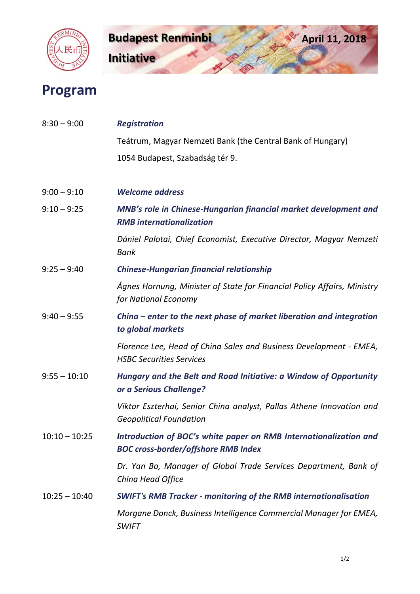



## **Program**

| $8:30 - 9:00$   | <b>Registration</b>                                                                                             |
|-----------------|-----------------------------------------------------------------------------------------------------------------|
|                 | Teátrum, Magyar Nemzeti Bank (the Central Bank of Hungary)                                                      |
|                 | 1054 Budapest, Szabadság tér 9.                                                                                 |
|                 |                                                                                                                 |
| $9:00 - 9:10$   | <b>Welcome address</b>                                                                                          |
| $9:10 - 9:25$   | MNB's role in Chinese-Hungarian financial market development and<br><b>RMB</b> internationalization             |
|                 | Dániel Palotai, Chief Economist, Executive Director, Magyar Nemzeti<br><b>Bank</b>                              |
| $9:25 - 9:40$   | <b>Chinese-Hungarian financial relationship</b>                                                                 |
|                 | Ágnes Hornung, Minister of State for Financial Policy Affairs, Ministry<br>for National Economy                 |
| $9:40 - 9:55$   | China $-$ enter to the next phase of market liberation and integration<br>to global markets                     |
|                 | Florence Lee, Head of China Sales and Business Development - EMEA,<br><b>HSBC Securities Services</b>           |
| $9:55 - 10:10$  | Hungary and the Belt and Road Initiative: a Window of Opportunity<br>or a Serious Challenge?                    |
|                 | Viktor Eszterhai, Senior China analyst, Pallas Athene Innovation and<br><b>Geopolitical Foundation</b>          |
| $10:10 - 10:25$ | Introduction of BOC's white paper on RMB Internationalization and<br><b>BOC cross-border/offshore RMB Index</b> |
|                 | Dr. Yan Bo, Manager of Global Trade Services Department, Bank of<br>China Head Office                           |
| $10:25 - 10:40$ | <b>SWIFT's RMB Tracker - monitoring of the RMB internationalisation</b>                                         |
|                 | Morgane Donck, Business Intelligence Commercial Manager for EMEA,<br><b>SWIFT</b>                               |